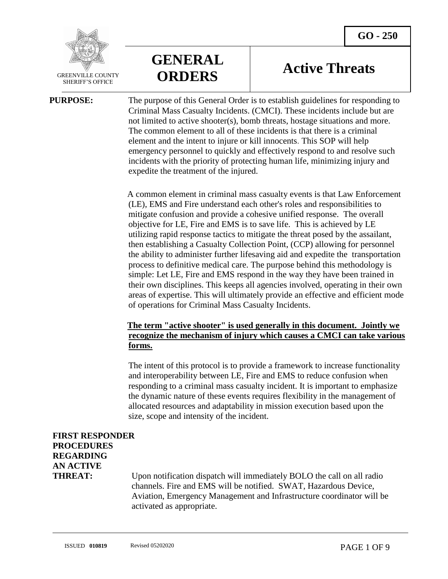

SHERIFF'S OFFICE

**GENERAL ORDERS**

# **Active Threats**

**PURPOSE:** The purpose of this General Order is to establish guidelines for responding to Criminal Mass Casualty Incidents. (CMCI). These incidents include but are not limited to active shooter(s), bomb threats, hostage situations and more. The common element to all of these incidents is that there is a criminal element and the intent to injure or kill innocents. This SOP will help emergency personnel to quickly and effectively respond to and resolve such incidents with the priority of protecting human life, minimizing injury and expedite the treatment of the injured.

> A common element in criminal mass casualty events is that Law Enforcement (LE), EMS and Fire understand each other's roles and responsibilities to mitigate confusion and provide a cohesive unified response. The overall objective for LE, Fire and EMS is to save life. This is achieved by LE utilizing rapid response tactics to mitigate the threat posed by the assailant, then establishing a Casualty Collection Point, (CCP) allowing for personnel the ability to administer further lifesaving aid and expedite the transportation process to definitive medical care. The purpose behind this methodology is simple: Let LE, Fire and EMS respond in the way they have been trained in their own disciplines. This keeps all agencies involved, operating in their own areas of expertise. This will ultimately provide an effective and efficient mode of operations for Criminal Mass Casualty Incidents.

## **The term "active shooter" is used generally in this document. Jointly we recognize the mechanism of injury which causes a CMCI can take various forms.**

The intent of this protocol is to provide a framework to increase functionality and interoperability between LE, Fire and EMS to reduce confusion when responding to a criminal mass casualty incident. It is important to emphasize the dynamic nature of these events requires flexibility in the management of allocated resources and adaptability in mission execution based upon the size, scope and intensity of the incident.

## **FIRST RESPONDER PROCEDURES REGARDING AN ACTIVE**

**THREAT:** Upon notification dispatch will immediately BOLO the call on all radio channels. Fire and EMS will be notified. SWAT, Hazardous Device, Aviation, Emergency Management and Infrastructure coordinator will be activated as appropriate.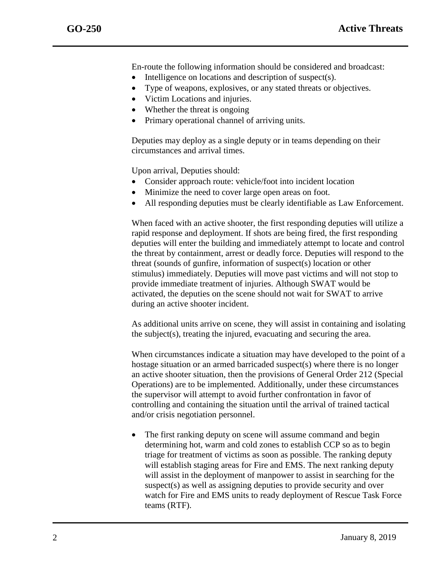En-route the following information should be considered and broadcast:

- Intelligence on locations and description of suspect(s).
- Type of weapons, explosives, or any stated threats or objectives.
- Victim Locations and injuries.
- Whether the threat is ongoing
- Primary operational channel of arriving units.

Deputies may deploy as a single deputy or in teams depending on their circumstances and arrival times.

Upon arrival, Deputies should:

- Consider approach route: vehicle/foot into incident location
- Minimize the need to cover large open areas on foot.
- All responding deputies must be clearly identifiable as Law Enforcement.

When faced with an active shooter, the first responding deputies will utilize a rapid response and deployment. If shots are being fired, the first responding deputies will enter the building and immediately attempt to locate and control the threat by containment, arrest or deadly force. Deputies will respond to the threat (sounds of gunfire, information of suspect(s) location or other stimulus) immediately. Deputies will move past victims and will not stop to provide immediate treatment of injuries. Although SWAT would be activated, the deputies on the scene should not wait for SWAT to arrive during an active shooter incident.

As additional units arrive on scene, they will assist in containing and isolating the subject(s), treating the injured, evacuating and securing the area.

When circumstances indicate a situation may have developed to the point of a hostage situation or an armed barricaded suspect(s) where there is no longer an active shooter situation, then the provisions of General Order 212 (Special Operations) are to be implemented. Additionally, under these circumstances the supervisor will attempt to avoid further confrontation in favor of controlling and containing the situation until the arrival of trained tactical and/or crisis negotiation personnel.

 The first ranking deputy on scene will assume command and begin determining hot, warm and cold zones to establish CCP so as to begin triage for treatment of victims as soon as possible. The ranking deputy will establish staging areas for Fire and EMS. The next ranking deputy will assist in the deployment of manpower to assist in searching for the suspect(s) as well as assigning deputies to provide security and over watch for Fire and EMS units to ready deployment of Rescue Task Force teams (RTF).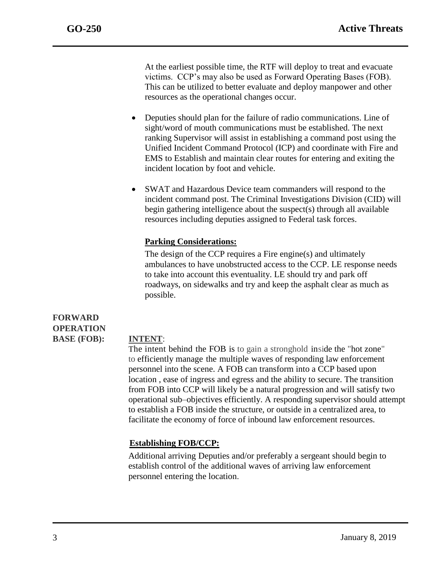At the earliest possible time, the RTF will deploy to treat and evacuate victims. CCP's may also be used as Forward Operating Bases (FOB). This can be utilized to better evaluate and deploy manpower and other resources as the operational changes occur.

- Deputies should plan for the failure of radio communications. Line of sight/word of mouth communications must be established. The next ranking Supervisor will assist in establishing a command post using the Unified Incident Command Protocol (ICP) and coordinate with Fire and EMS to Establish and maintain clear routes for entering and exiting the incident location by foot and vehicle.
- SWAT and Hazardous Device team commanders will respond to the incident command post. The Criminal Investigations Division (CID) will begin gathering intelligence about the suspect(s) through all available resources including deputies assigned to Federal task forces.

## **Parking Considerations:**

The design of the CCP requires a Fire engine(s) and ultimately ambulances to have unobstructed access to the CCP. LE response needs to take into account this eventuality. LE should try and park off roadways, on sidewalks and try and keep the asphalt clear as much as possible.

## **FORWARD OPERATION BASE (FOB): INTENT**:

 The intent behind the FOB is to gain a stronghold inside the "hot zone" to efficiently manage the multiple waves of responding law enforcement personnel into the scene. A FOB can transform into a CCP based upon location , ease of ingress and egress and the ability to secure. The transition from FOB into CCP will likely be a natural progression and will satisfy two operational sub–objectives efficiently. A responding supervisor should attempt to establish a FOB inside the structure, or outside in a centralized area, to facilitate the economy of force of inbound law enforcement resources.

## **Establishing FOB/CCP:**

Additional arriving Deputies and/or preferably a sergeant should begin to establish control of the additional waves of arriving law enforcement personnel entering the location.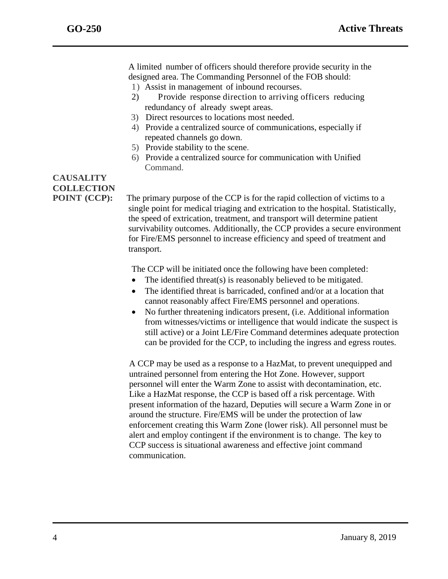A limited number of officers should therefore provide security in the designed area. The Commanding Personnel of the FOB should:

- 1) Assist in management of inbound recourses.
- 2) Provide response direction to arriving officers reducing redundancy of already swept areas.
- 3) Direct resources to locations most needed.
- 4) Provide a centralized source of communications, especially if repeated channels go down.
- 5) Provide stability to the scene.
- 6) Provide a centralized source for communication with Unified Command.

# **CAUSALITY COLLECTION**

**POINT** (CCP): The primary purpose of the CCP is for the rapid collection of victims to a single point for medical triaging and extrication to the hospital. Statistically, the speed of extrication, treatment, and transport will determine patient survivability outcomes. Additionally, the CCP provides a secure environment for Fire/EMS personnel to increase efficiency and speed of treatment and transport.

The CCP will be initiated once the following have been completed:

- The identified threat(s) is reasonably believed to be mitigated.
- The identified threat is barricaded, confined and/or at a location that cannot reasonably affect Fire/EMS personnel and operations.
- No further threatening indicators present, (i.e. Additional information from witnesses/victims or intelligence that would indicate the suspect is still active) or a Joint LE/Fire Command determines adequate protection can be provided for the CCP, to including the ingress and egress routes.

A CCP may be used as a response to a HazMat, to prevent unequipped and untrained personnel from entering the Hot Zone. However, support personnel will enter the Warm Zone to assist with decontamination, etc. Like a HazMat response, the CCP is based off a risk percentage. With present information of the hazard, Deputies will secure a Warm Zone in or around the structure. Fire/EMS will be under the protection of law enforcement creating this Warm Zone (lower risk). All personnel must be alert and employ contingent if the environment is to change. The key to CCP success is situational awareness and effective joint command communication.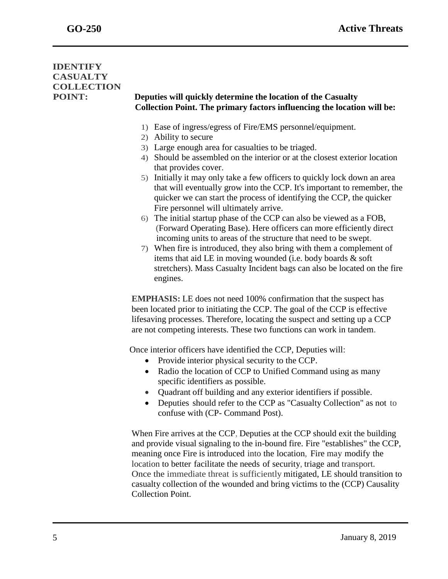## **IDENTIFY CASUALTY COLLECTION**

## **POINT: Deputies will quickly determine the location of the Casualty Collection Point. The primary factors influencing the location will be:**

- 1) Ease of ingress/egress of Fire/EMS personnel/equipment.
- 2) Ability to secure
- 3) Large enough area for casualties to be triaged.
- 4) Should be assembled on the interior or at the closest exterior location that provides cover.
- 5) Initially it may only take a few officers to quickly lock down an area that will eventually grow into the CCP. It's important to remember, the quicker we can start the process of identifying the CCP, the quicker Fire personnel will ultimately arrive.
- 6) The initial startup phase of the CCP can also be viewed as a FOB, (Forward Operating Base). Here officers can more efficiently direct incoming units to areas of the structure that need to be swept.
- 7) When fire is introduced, they also bring with them a complement of items that aid LE in moving wounded (i.e. body boards & soft stretchers). Mass Casualty Incident bags can also be located on the fire engines.

**EMPHASIS:** LE does not need 100% confirmation that the suspect has been located prior to initiating the CCP. The goal of the CCP is effective lifesaving processes. Therefore, locating the suspect and setting up a CCP are not competing interests. These two functions can work in tandem.

Once interior officers have identified the CCP, Deputies will:

- Provide interior physical security to the CCP.
- Radio the location of CCP to Unified Command using as many specific identifiers as possible.
- Quadrant off building and any exterior identifiers if possible.
- Deputies should refer to the CCP as "Casualty Collection" as not to confuse with (CP- Command Post).

When Fire arrives at the CCP, Deputies at the CCP should exit the building and provide visual signaling to the in-bound fire. Fire "establishes" the CCP, meaning once Fire is introduced into the location, Fire may modify the location to better facilitate the needs of security, triage and transport. Once the immediate threat issufficiently mitigated, LE should transition to casualty collection of the wounded and bring victims to the (CCP) Causality Collection Point.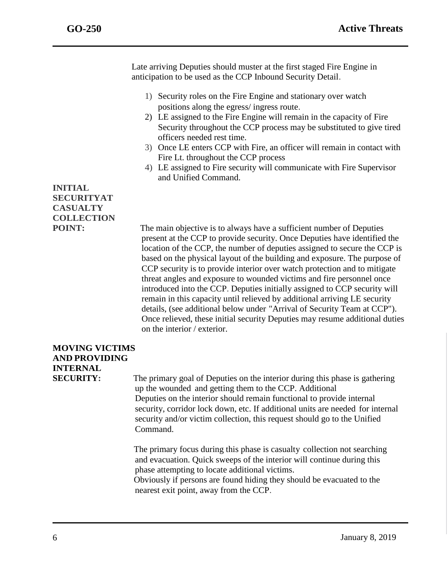Late arriving Deputies should muster at the first staged Fire Engine in anticipation to be used as the CCP Inbound Security Detail.

- 1) Security roles on the Fire Engine and stationary over watch positions along the egress/ ingress route.
- 2) LE assigned to the Fire Engine will remain in the capacity of Fire Security throughout the CCP process may be substituted to give tired officers needed rest time.
- 3) Once LE enters CCP with Fire, an officer will remain in contact with Fire Lt. throughout the CCP process
- 4) LE assigned to Fire security will communicate with Fire Supervisor and Unified Command.

## **INITIAL SECURITYAT CASUALTY COLLECTION**

**POINT:** The main objective is to always have a sufficient number of Deputies present at the CCP to provide security. Once Deputies have identified the location of the CCP, the number of deputies assigned to secure the CCP is based on the physical layout of the building and exposure. The purpose of CCP security is to provide interior over watch protection and to mitigate threat angles and exposure to wounded victims and fire personnel once introduced into the CCP. Deputies initially assigned to CCP security will remain in this capacity until relieved by additional arriving LE security details, (see additional below under "Arrival of Security Team at CCP"). Once relieved, these initial security Deputies may resume additional duties on the interior / exterior.

# **MOVING VICTIMS AND PROVIDING INTERNAL**

**SECURITY:** The primary goal of Deputies on the interior during this phase is gathering up the wounded and getting them to the CCP. Additional Deputies on the interior should remain functional to provide internal security, corridor lock down, etc. If additional units are needed for internal security and/or victim collection, this request should go to the Unified Command.

> The primary focus during this phase is casualty collection not searching and evacuation. Quick sweeps of the interior will continue during this phase attempting to locate additional victims.

Obviously if persons are found hiding they should be evacuated to the nearest exit point, away from the CCP.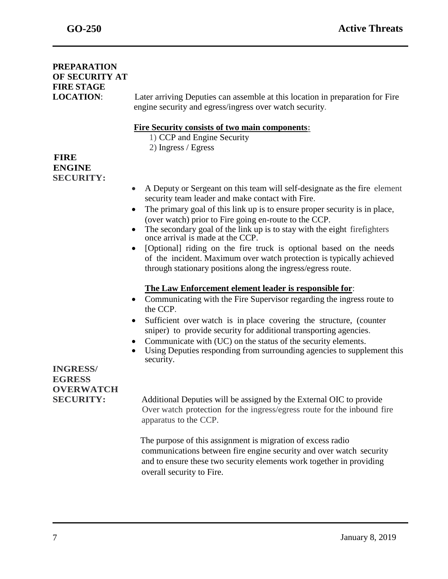## **PREPARATION OF SECURITY AT FIRE STAGE** engine security and egress/ingress over watch security. **Fire Security consists of two main components:** 1) CCP and Engine Security 2) Ingress / Egress **FIRE ENGINE SECURITY:**  A Deputy or Sergeant on this team will self-designate as the fire element security team leader and make contact with Fire. • The primary goal of this link up is to ensure proper security is in place, (over watch) prior to Fire going en-route to the CCP. • The secondary goal of the link up is to stay with the eight firefighters once arrival is made at the CCP. • [Optional] riding on the fire truck is optional based on the needs of the incident. Maximum over watch protection is typically achieved through stationary positions along the ingress/egress route. **The Law Enforcement element leader is responsible for**: • Communicating with the Fire Supervisor regarding the ingress route to the CCP. • Sufficient over watch is in place covering the structure, (counter sniper) to provide security for additional transporting agencies. Communicate with (UC) on the status of the security elements. Using Deputies responding from surrounding agencies to supplement this security. **INGRESS/ EGRESS OVERWATCH SECURITY:** Additional Deputies will be assigned by the External OIC to provide Over watch protection for the ingress/egress route for the inbound fire apparatus to the CCP. The purpose of this assignment is migration of excess radio communications between fire engine security and over watch security and to ensure these two security elements work together in providing overall security to Fire.

**LOCATION**: Later arriving Deputies can assemble at this location in preparation for Fire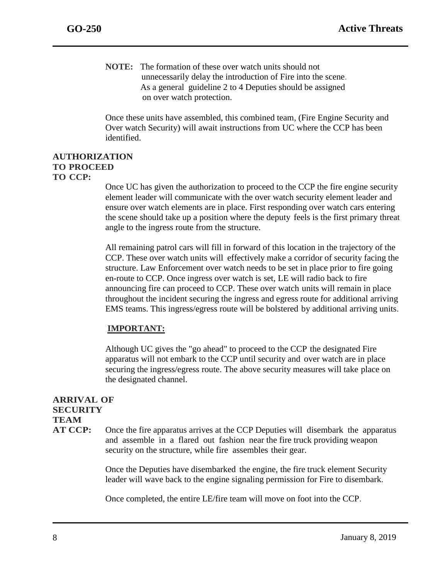**NOTE:** The formation of these over watch units should not unnecessarily delay the introduction of Fire into the scene. As a general guideline 2 to 4 Deputies should be assigned on over watch protection.

Once these units have assembled, this combined team, (Fire Engine Security and Over watch Security) will await instructions from UC where the CCP has been identified.

#### **AUTHORIZATION TO PROCEED TO CCP:**

Once UC has given the authorization to proceed to the CCP the fire engine security element leader will communicate with the over watch security element leader and ensure over watch elements are in place. First responding over watch cars entering the scene should take up a position where the deputy feels is the first primary threat angle to the ingress route from the structure.

All remaining patrol cars will fill in forward of this location in the trajectory of the CCP. These over watch units will effectively make a corridor of security facing the structure. Law Enforcement over watch needs to be set in place prior to fire going en-route to CCP. Once ingress over watch is set, LE will radio back to fire announcing fire can proceed to CCP. These over watch units will remain in place throughout the incident securing the ingress and egress route for additional arriving EMS teams. This ingress/egress route will be bolstered by additional arriving units.

## **IMPORTANT:**

Although UC gives the "go ahead" to proceed to the CCP the designated Fire apparatus will not embark to the CCP until security and over watch are in place securing the ingress/egress route. The above security measures will take place on the designated channel.

## **ARRIVAL OF SECURITY TEAM**

**AT CCP:** Once the fire apparatus arrives at the CCP Deputies will disembark the apparatus and assemble in a flared out fashion near the fire truck providing weapon security on the structure, while fire assembles their gear.

> Once the Deputies have disembarked the engine, the fire truck element Security leader will wave back to the engine signaling permission for Fire to disembark.

Once completed, the entire LE/fire team will move on foot into the CCP.